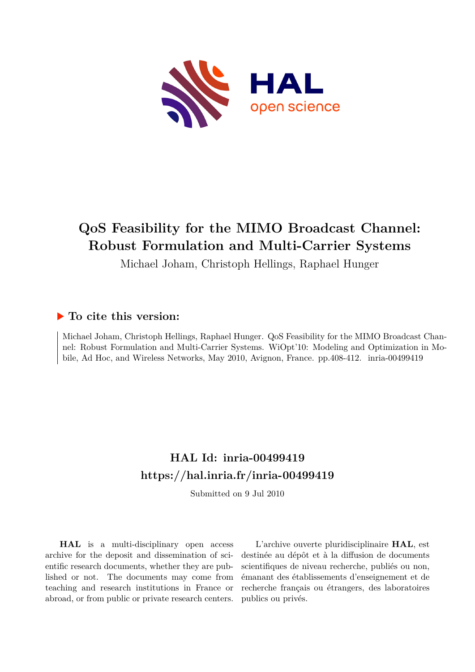

## **QoS Feasibility for the MIMO Broadcast Channel: Robust Formulation and Multi-Carrier Systems**

Michael Joham, Christoph Hellings, Raphael Hunger

### **To cite this version:**

Michael Joham, Christoph Hellings, Raphael Hunger. QoS Feasibility for the MIMO Broadcast Channel: Robust Formulation and Multi-Carrier Systems. WiOpt'10: Modeling and Optimization in Mobile, Ad Hoc, and Wireless Networks, May 2010, Avignon, France. pp.408-412. inria-00499419

## **HAL Id: inria-00499419 <https://hal.inria.fr/inria-00499419>**

Submitted on 9 Jul 2010

**HAL** is a multi-disciplinary open access archive for the deposit and dissemination of scientific research documents, whether they are published or not. The documents may come from teaching and research institutions in France or abroad, or from public or private research centers.

L'archive ouverte pluridisciplinaire **HAL**, est destinée au dépôt et à la diffusion de documents scientifiques de niveau recherche, publiés ou non, émanant des établissements d'enseignement et de recherche français ou étrangers, des laboratoires publics ou privés.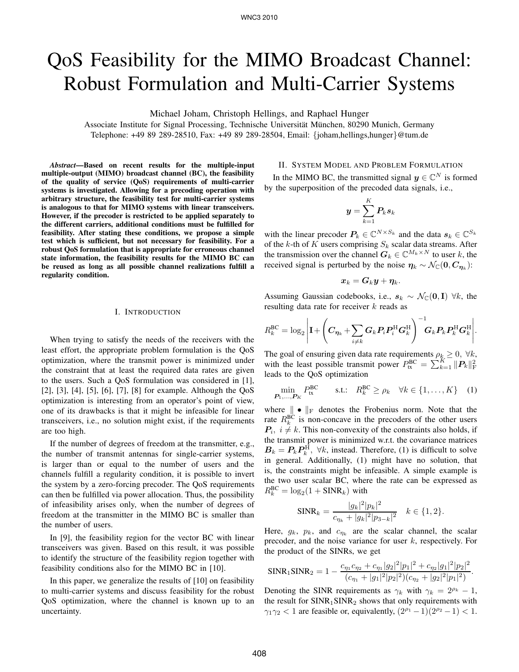# QoS Feasibility for the MIMO Broadcast Channel: Robust Formulation and Multi-Carrier Systems

Michael Joham, Christoph Hellings, and Raphael Hunger

Associate Institute for Signal Processing, Technische Universität München, 80290 Munich, Germany Telephone: +49 89 289-28510, Fax: +49 89 289-28504, Email: {joham,hellings,hunger}@tum.de

*Abstract***—Based on recent results for the multiple-input multiple-output (MIMO) broadcast channel (BC), the feasibility of the quality of service (QoS) requirements of multi-carrier systems is investigated. Allowing for a precoding operation with arbitrary structure, the feasibility test for multi-carrier systems is analogous to that for MIMO systems with linear transceivers. However, if the precoder is restricted to be applied separately to the different carriers, additional conditions must be fulfilled for feasibility. After stating these conditions, we propose a simple test which is sufficient, but not necessary for feasibility. For a robust QoS formulation that is appropriate for erroneous channel state information, the feasibility results for the MIMO BC can be reused as long as all possible channel realizations fulfill a regularity condition.**

#### I. INTRODUCTION

When trying to satisfy the needs of the receivers with the least effort, the appropriate problem formulation is the QoS optimization, where the transmit power is minimized under the constraint that at least the required data rates are given to the users. Such a QoS formulation was considered in [1], [2], [3], [4], [5], [6], [7], [8] for example. Although the QoS optimization is interesting from an operator's point of view, one of its drawbacks is that it might be infeasible for linear transceivers, i.e., no solution might exist, if the requirements are too high.

If the number of degrees of freedom at the transmitter, e.g., the number of transmit antennas for single-carrier systems, is larger than or equal to the number of users and the channels fulfill a regularity condition, it is possible to invert the system by a zero-forcing precoder. The QoS requirements can then be fulfilled via power allocation. Thus, the possibility of infeasibility arises only, when the number of degrees of freedom at the transmitter in the MIMO BC is smaller than the number of users.

In [9], the feasibility region for the vector BC with linear transceivers was given. Based on this result, it was possible to identify the structure of the feasibility region together with feasibility conditions also for the MIMO BC in [10].

In this paper, we generalize the results of [10] on feasibility to multi-carrier systems and discuss feasibility for the robust QoS optimization, where the channel is known up to an uncertainty.

#### II. SYSTEM MODEL AND PROBLEM FORMULATION

In the MIMO BC, the transmitted signal  $y \in \mathbb{C}^N$  is formed by the superposition of the precoded data signals, i.e.,

$$
\boldsymbol{y} = \sum_{k=1}^K \boldsymbol{P}_k \boldsymbol{s}_k
$$

with the linear precoder  $P_k \in \mathbb{C}^{N \times S_k}$  and the data  $s_k \in \mathbb{C}^{S_k}$ of the k-th of K users comprising  $S_k$  scalar data streams. After the transmission over the channel  $G_k \in \mathbb{C}^{M_k \times N}$  to user k, the received signal is perturbed by the noise  $\eta_k \sim \mathcal{N}_{\mathbb{C}}(0, C_{\eta_k})$ :

$$
\boldsymbol{x}_k = \boldsymbol{G}_k \boldsymbol{y} + \boldsymbol{\eta}_k.
$$

Assuming Gaussian codebooks, i.e.,  $s_k \sim \mathcal{N}_{\mathbb{C}}(0, I)$   $\forall k$ , the resulting data rate for receiver  $k$  reads as

$$
R_k^{\text{BC}} = \log_2 \left| \mathbf{I} + \left( \boldsymbol{C}_{\boldsymbol{\eta}_k} + \sum_{i \neq k} \boldsymbol{G}_k \boldsymbol{P}_i \boldsymbol{P}_i^{\text{H}} \boldsymbol{G}_k^{\text{H}} \right)^{-1} \!\! \boldsymbol{G}_k \boldsymbol{P}_k \boldsymbol{P}_k^{\text{H}} \boldsymbol{G}_k^{\text{H}} \right|.
$$

The goal of ensuring given data rate requirements  $\rho_k \geq 0, \forall k$ , with the least possible transmit power  $P_{\text{tx}}^{\text{BC}} = \sum_{k=1}^{K} ||P_k||_F^2$ leads to the QoS optimization

$$
\min_{P_1,\ldots,P_K} P_{\text{tx}}^{\text{BC}} \qquad \text{s.t.:} \quad R_k^{\text{BC}} \ge \rho_k \quad \forall k \in \{1,\ldots,K\} \quad (1)
$$

where  $\|\bullet\|_F$  denotes the Frobenius norm. Note that the rate  $R_k^{\text{BC}}$  is non-concave in the precoders of the other users  $P_i$ ,  $i \neq k$ . This non-convexity of the constraints also holds, if the transmit power is minimized w.r.t. the covariance matrices  $B_k = P_k P_k^{\text{H}}$ ,  $\forall k$ , instead. Therefore, (1) is difficult to solve in general. Additionally, (1) might have no solution, that is, the constraints might be infeasible. A simple example is the two user scalar BC, where the rate can be expressed as  $R_k^{\text{BC}} = \log_2(1 + \text{SINR}_k)$  with

$$
\text{SINR}_k = \frac{|g_k|^2 |p_k|^2}{c_{\eta_k} + |g_k|^2 |p_{3-k}|^2} \quad k \in \{1, 2\}.
$$

Here,  $g_k$ ,  $p_k$ , and  $c_{\eta_k}$  are the scalar channel, the scalar precoder, and the noise variance for user  $k$ , respectively. For the product of the SINRs, we get

$$
\text{SINR}_1 \text{SINR}_2 = 1 - \frac{c_{\eta_1} c_{\eta_2} + c_{\eta_1} |g_2|^2 |p_1|^2 + c_{\eta_2} |g_1|^2 |p_2|^2}{(c_{\eta_1} + |g_1|^2 |p_2|^2)(c_{\eta_2} + |g_2|^2 |p_1|^2)}.
$$

Denoting the SINR requirements as  $\gamma_k$  with  $\gamma_k = 2^{\rho_k} - 1$ , the result for  $SINR_1SINR_2$  shows that only requirements with  $\gamma_1 \gamma_2 < 1$  are feasible or, equivalently,  $(2^{\rho_1} - 1)(2^{\rho_2} - 1) < 1$ .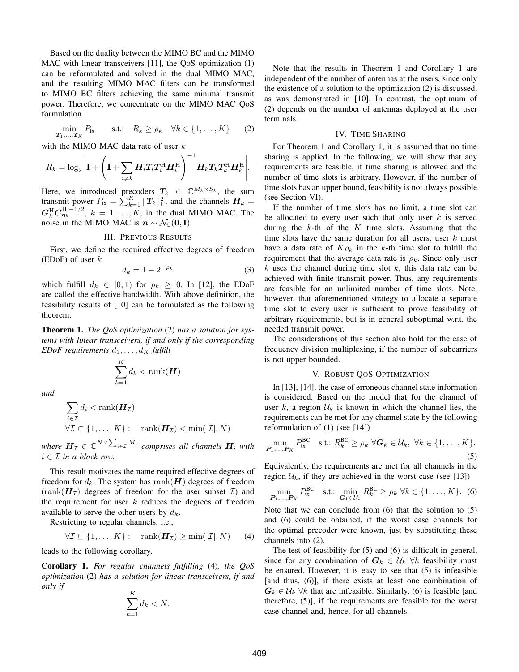Based on the duality between the MIMO BC and the MIMO MAC with linear transceivers [11], the QoS optimization (1) can be reformulated and solved in the dual MIMO MAC, and the resulting MIMO MAC filters can be transformed to MIMO BC filters achieving the same minimal transmit power. Therefore, we concentrate on the MIMO MAC QoS formulation

$$
\min_{\mathbf{T}_1,\ldots,\mathbf{T}_K} P_{\text{tx}} \qquad \text{s.t.:} \quad R_k \ge \rho_k \quad \forall k \in \{1,\ldots,K\} \qquad (2)
$$

with the MIMO MAC data rate of user  $k$ 

$$
R_k = \log_2 \left| \mathbf{I} + \left( \mathbf{I} + \sum_{i \neq k} \mathbf{H}_i \mathbf{T}_i \mathbf{T}_i^{\mathrm{H}} \mathbf{H}_i^{\mathrm{H}} \right)^{-1} \mathbf{H}_k \mathbf{T}_k \mathbf{T}_k^{\mathrm{H}} \mathbf{H}_k^{\mathrm{H}} \right|.
$$

Here, we introduced precoders  $T_k \in \mathbb{C}^{M_k \times S_k}$ , the sum transmit power  $P_{\text{tx}} = \sum_{k=1}^{K} ||\mathbf{T}_k||^2_F$ , and the channels  $\mathbf{H}_k =$  $G_k^{\text{H}} C_{\eta_k}^{\text{H},-1/2}$ ,  $k = 1, \ldots, K$ , in the dual MIMO MAC. The noise in the MIMO MAC is  $n \sim \mathcal{N}_{\mathbb{C}}(0, I)$ .

#### III. PREVIOUS RESULTS

First, we define the required effective degrees of freedom (EDoF) of user  $k$ 

$$
d_k = 1 - 2^{-\rho_k} \tag{3}
$$

which fulfill  $d_k \in [0,1)$  for  $\rho_k \geq 0$ . In [12], the EDoF are called the effective bandwidth. With above definition, the feasibility results of [10] can be formulated as the following theorem.

**Theorem 1.** *The QoS optimization* (2) *has a solution for systems with linear transceivers, if and only if the corresponding EDoF requirements*  $d_1, \ldots, d_K$  *fulfill* 

$$
\sum_{k=1}^K d_k < \text{rank}(\boldsymbol{H})
$$

*and*

$$
\sum_{i \in \mathcal{I}} d_i < \text{rank}(\mathbf{H}_{\mathcal{I}})
$$
\n
$$
\forall \mathcal{I} \subset \{1, \dots, K\} : \quad \text{rank}(\mathbf{H}_{\mathcal{I}}) < \min(|\mathcal{I}|, N)
$$

where  $\boldsymbol{H}_{\mathcal{I}}\in \mathbb{C}^{N\times \sum_{i\in \mathcal{I}}M_i}$  comprises all channels  $\boldsymbol{H}_i$  with  $i \in \mathcal{I}$  *in a block row.* 

This result motivates the name required effective degrees of freedom for  $d_k$ . The system has rank $(H)$  degrees of freedom  $(\text{rank}(\mathbf{H}_{\mathcal{I}}))$  degrees of freedom for the user subset  $\mathcal{I})$  and the requirement for user  $k$  reduces the degrees of freedom available to serve the other users by  $d_k$ .

Restricting to regular channels, i.e.,

$$
\forall \mathcal{I} \subseteq \{1, \ldots, K\} : \quad \text{rank}(\boldsymbol{H}_{\mathcal{I}}) \ge \min(|\mathcal{I}|, N) \qquad (4)
$$

leads to the following corollary.

**Corollary 1.** *For regular channels fulfilling* (4)*, the QoS optimization* (2) *has a solution for linear transceivers, if and only if*

$$
\sum_{k=1}^{K} d_k < N.
$$

Note that the results in Theorem 1 and Corollary 1 are independent of the number of antennas at the users, since only the existence of a solution to the optimization (2) is discussed, as was demonstrated in [10]. In contrast, the optimum of (2) depends on the number of antennas deployed at the user terminals.

#### IV. TIME SHARING

For Theorem 1 and Corollary 1, it is assumed that no time sharing is applied. In the following, we will show that any requirements are feasible, if time sharing is allowed and the number of time slots is arbitrary. However, if the number of time slots has an upper bound, feasibility is not always possible (see Section VI).

If the number of time slots has no limit, a time slot can be allocated to every user such that only user  $k$  is served during the  $k$ -th of the  $K$  time slots. Assuming that the time slots have the same duration for all users, user  $k$  must have a data rate of  $K\rho_k$  in the k-th time slot to fulfill the requirement that the average data rate is  $\rho_k$ . Since only user k uses the channel during time slot k, this data rate can be achieved with finite transmit power. Thus, any requirements are feasible for an unlimited number of time slots. Note, however, that aforementioned strategy to allocate a separate time slot to every user is sufficient to prove feasibility of arbitrary requirements, but is in general suboptimal w.r.t. the needed transmit power.

The considerations of this section also hold for the case of frequency division multiplexing, if the number of subcarriers is not upper bounded.

#### V. ROBUST QOS OPTIMIZATION

In [13], [14], the case of erroneous channel state information is considered. Based on the model that for the channel of user k, a region  $\mathcal{U}_k$  is known in which the channel lies, the requirements can be met for any channel state by the following reformulation of (1) (see [14])

$$
\min_{\mathbf{P}_1,\dots,\mathbf{P}_K} P_{\text{tx}}^{\text{BC}} \quad \text{s.t.: } R_k^{\text{BC}} \ge \rho_k \ \forall \mathbf{G}_k \in \mathcal{U}_k, \ \forall k \in \{1,\dots,K\}. \tag{5}
$$

Equivalently, the requirements are met for all channels in the region  $U_k$ , if they are achieved in the worst case (see [13])

$$
\min_{\boldsymbol{P}_{1},\ldots,\boldsymbol{P}_{K}} P_{tx}^{\text{BC}} \quad \text{s.t.:} \quad \min_{\boldsymbol{G}_{k} \in \mathcal{U}_{k}} R_{k}^{\text{BC}} \geq \rho_{k} \ \forall k \in \{1,\ldots,K\}. \tag{6}
$$

Note that we can conclude from (6) that the solution to (5) and (6) could be obtained, if the worst case channels for the optimal precoder were known, just by substituting these channels into (2).

The test of feasibility for (5) and (6) is difficult in general, since for any combination of  $G_k \in \mathcal{U}_k$   $\forall k$  feasibility must be ensured. However, it is easy to see that (5) is infeasible [and thus, (6)], if there exists at least one combination of  $G_k \in \mathcal{U}_k$   $\forall k$  that are infeasible. Similarly, (6) is feasible [and therefore, (5)], if the requirements are feasible for the worst case channel and, hence, for all channels.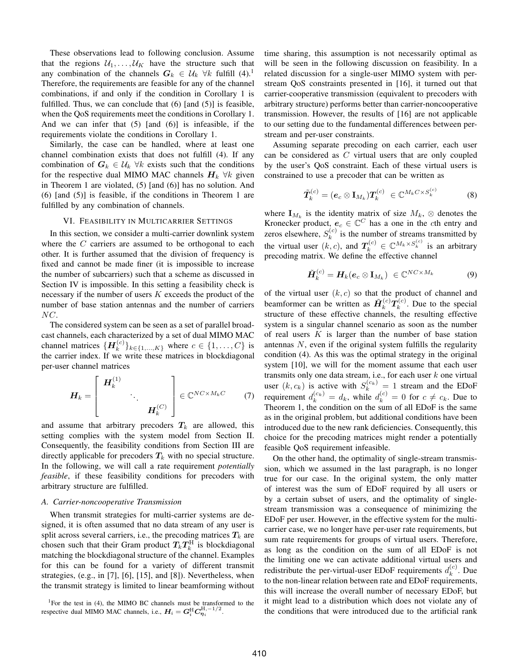These observations lead to following conclusion. Assume that the regions  $U_1, \ldots, U_K$  have the structure such that any combination of the channels  $G_k \in \mathcal{U}_k$   $\forall k$  fulfill (4).<sup>1</sup> Therefore, the requirements are feasible for any of the channel combinations, if and only if the condition in Corollary 1 is fulfilled. Thus, we can conclude that  $(6)$  [and  $(5)$ ] is feasible, when the QoS requirements meet the conditions in Corollary 1. And we can infer that  $(5)$  [and  $(6)$ ] is infeasible, if the requirements violate the conditions in Corollary 1.

Similarly, the case can be handled, where at least one channel combination exists that does not fulfill (4). If any combination of  $G_k \in \mathcal{U}_k$   $\forall k$  exists such that the conditions for the respective dual MIMO MAC channels  $H_k$   $\forall k$  given in Theorem 1 are violated, (5) [and (6)] has no solution. And (6) [and (5)] is feasible, if the conditions in Theorem 1 are fulfilled by any combination of channels.

#### VI. FEASIBILITY IN MULTICARRIER SETTINGS

In this section, we consider a multi-carrier downlink system where the  $C$  carriers are assumed to be orthogonal to each other. It is further assumed that the division of frequency is fixed and cannot be made finer (it is impossible to increase the number of subcarriers) such that a scheme as discussed in Section IV is impossible. In this setting a feasibility check is necessary if the number of users  $K$  exceeds the product of the number of base station antennas and the number of carriers NC.

The considered system can be seen as a set of parallel broadcast channels, each characterized by a set of dual MIMO MAC channel matrices  $\{H_k^{(c)}\}$  ${k^{(c)}\atop k}$ <sub>k</sub> $\in \{1,...,K\}$  where  $c \in \{1,...,C\}$  is the carrier index. If we write these matrices in blockdiagonal per-user channel matrices

$$
\boldsymbol{H}_{k} = \begin{bmatrix} \boldsymbol{H}_{k}^{(1)} & & \\ & \ddots & \\ & & \boldsymbol{H}_{k}^{(C)} \end{bmatrix} \in \mathbb{C}^{NC \times M_{k}C} \tag{7}
$$

and assume that arbitrary precoders  $T_k$  are allowed, this setting complies with the system model from Section II. Consequently, the feasibility conditions from Section III are directly applicable for precoders  $T_k$  with no special structure. In the following, we will call a rate requirement *potentially feasible*, if these feasibility conditions for precoders with arbitrary structure are fulfilled.

#### *A. Carrier-noncooperative Transmission*

When transmit strategies for multi-carrier systems are designed, it is often assumed that no data stream of any user is split across several carriers, i.e., the precoding matrices  $T_k$  are chosen such that their Gram product  $T_k T_k^{\rm H}$  is blockdiagonal matching the blockdiagonal structure of the channel. Examples for this can be found for a variety of different transmit strategies, (e.g., in [7], [6], [15], and [8]). Nevertheless, when the transmit strategy is limited to linear beamforming without

<sup>1</sup>For the test in (4), the MIMO BC channels must be transformed to the respective dual MIMO MAC channels, i.e.,  $H_i = G_i^{\text{H}} C_{\eta_i}^{\text{H},-1/2}$ .

time sharing, this assumption is not necessarily optimal as will be seen in the following discussion on feasibility. In a related discussion for a single-user MIMO system with perstream QoS constraints presented in [16], it turned out that carrier-cooperative transmission (equivalent to precoders with arbitrary structure) performs better than carrier-noncooperative transmission. However, the results of [16] are not applicable to our setting due to the fundamental differences between perstream and per-user constraints.

Assuming separate precoding on each carrier, each user can be considered as  $C$  virtual users that are only coupled by the user's QoS constraint. Each of these virtual users is constrained to use a precoder that can be written as

$$
\tilde{\boldsymbol{T}}_{k}^{(c)} = (\boldsymbol{e}_{c} \otimes \mathbf{I}_{M_{k}}) \boldsymbol{T}_{k}^{(c)} \in \mathbb{C}^{M_{k}C \times S_{k}^{(c)}}
$$
(8)

where  $I_{M_k}$  is the identity matrix of size  $M_k$ ,  $\otimes$  denotes the Kronecker product,  $e_c \in \mathbb{C}^C$  has a one in the cth entry and zeros elsewhere,  $S_k^{(c)}$  $\kappa_k^{(c)}$  is the number of streams transmitted by the virtual user  $(k, c)$ , and  $T_k^{(c)} \in \mathbb{C}^{M_k \times S_k^{(c)}}$  is an arbitrary precoding matrix. We define the effective channel

$$
\tilde{\boldsymbol{H}}_k^{(c)} = \boldsymbol{H}_k(\boldsymbol{e}_c \otimes \mathbf{I}_{M_k}) \ \in \mathbb{C}^{NC \times M_k} \tag{9}
$$

of the virtual user  $(k, c)$  so that the product of channel and beamformer can be written as  $\tilde{H}_k^{(c)}T_k^{(c)}$  $k^{(c)}$ . Due to the special structure of these effective channels, the resulting effective system is a singular channel scenario as soon as the number of real users  $K$  is larger than the number of base station antennas  $N$ , even if the original system fulfills the regularity condition (4). As this was the optimal strategy in the original system [10], we will for the moment assume that each user transmits only one data stream, i.e., for each user  $k$  one virtual user  $(k, c_k)$  is active with  $S_k^{(c_k)} = 1$  stream and the EDoF requirement  $d_k^{(c_k)} = d_k$ , while  $d_k^{(c)} = 0$  for  $c \neq c_k$ . Due to Theorem 1, the condition on the sum of all EDoF is the same as in the original problem, but additional conditions have been introduced due to the new rank deficiencies. Consequently, this choice for the precoding matrices might render a potentially feasible QoS requirement infeasible.

On the other hand, the optimality of single-stream transmission, which we assumed in the last paragraph, is no longer true for our case. In the original system, the only matter of interest was the sum of EDoF required by all users or by a certain subset of users, and the optimality of singlestream transmission was a consequence of minimizing the EDoF per user. However, in the effective system for the multicarrier case, we no longer have per-user rate requirements, but sum rate requirements for groups of virtual users. Therefore, as long as the condition on the sum of all EDoF is not the limiting one we can activate additional virtual users and redistribute the per-virtual-user EDoF requirements  $d_k^{(c)}$  $k^{(c)}$ . Due to the non-linear relation between rate and EDoF requirements, this will increase the overall number of necessary EDoF, but it might lead to a distribution which does not violate any of the conditions that were introduced due to the artificial rank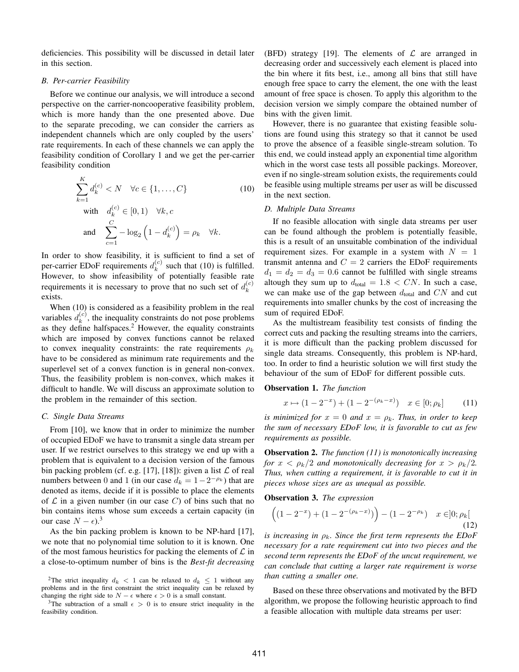deficiencies. This possibility will be discussed in detail later in this section.

#### *B. Per-carrier Feasibility*

Before we continue our analysis, we will introduce a second perspective on the carrier-noncooperative feasibility problem, which is more handy than the one presented above. Due to the separate precoding, we can consider the carriers as independent channels which are only coupled by the users' rate requirements. In each of these channels we can apply the feasibility condition of Corollary 1 and we get the per-carrier feasibility condition

$$
\sum_{k=1}^{K} d_k^{(c)} < N \quad \forall c \in \{1, \dots, C\} \tag{10}
$$
\n
$$
\text{with} \quad d_k^{(c)} \in [0, 1) \quad \forall k, c
$$
\n
$$
\text{and} \quad \sum_{c=1}^{C} -\log_2\left(1 - d_k^{(c)}\right) = \rho_k \quad \forall k.
$$

In order to show feasibility, it is sufficient to find a set of per-carrier EDoF requirements  $d_k^{(c)}$  $k<sup>(c)</sup>$  such that (10) is fulfilled. However, to show infeasibility of potentially feasible rate requirements it is necessary to prove that no such set of  $d_k^{(c)}$ k exists.

When (10) is considered as a feasibility problem in the real variables  $d_k^{(c)}$  $k<sup>(c)</sup>$ , the inequality constraints do not pose problems as they define halfspaces.<sup>2</sup> However, the equality constraints which are imposed by convex functions cannot be relaxed to convex inequality constraints: the rate requirements  $\rho_k$ have to be considered as minimum rate requirements and the superlevel set of a convex function is in general non-convex. Thus, the feasibility problem is non-convex, which makes it difficult to handle. We will discuss an approximate solution to the problem in the remainder of this section.

#### *C. Single Data Streams*

From [10], we know that in order to minimize the number of occupied EDoF we have to transmit a single data stream per user. If we restrict ourselves to this strategy we end up with a problem that is equivalent to a decision version of the famous bin packing problem (cf. e.g. [17], [18]): given a list  $\mathcal L$  of real numbers between 0 and 1 (in our case  $d_k = 1 - 2^{-\rho_k}$ ) that are denoted as items, decide if it is possible to place the elements of  $\mathcal L$  in a given number (in our case C) of bins such that no bin contains items whose sum exceeds a certain capacity (in our case  $N - \epsilon$ ).<sup>3</sup>

As the bin packing problem is known to be NP-hard [17], we note that no polynomial time solution to it is known. One of the most famous heuristics for packing the elements of  $\mathcal L$  in a close-to-optimum number of bins is the *Best-fit decreasing* (BFD) strategy [19]. The elements of  $\mathcal L$  are arranged in decreasing order and successively each element is placed into the bin where it fits best, i.e., among all bins that still have enough free space to carry the element, the one with the least amount of free space is chosen. To apply this algorithm to the decision version we simply compare the obtained number of bins with the given limit.

However, there is no guarantee that existing feasible solutions are found using this strategy so that it cannot be used to prove the absence of a feasible single-stream solution. To this end, we could instead apply an exponential time algorithm which in the worst case tests all possible packings. Moreover, even if no single-stream solution exists, the requirements could be feasible using multiple streams per user as will be discussed in the next section.

#### *D. Multiple Data Streams*

If no feasible allocation with single data streams per user can be found although the problem is potentially feasible, this is a result of an unsuitable combination of the individual requirement sizes. For example in a system with  $N = 1$ transmit antenna and  $C = 2$  carriers the EDoF requirements  $d_1 = d_2 = d_3 = 0.6$  cannot be fulfilled with single streams altough they sum up to  $d_{\text{total}} = 1.8 < CN$ . In such a case, we can make use of the gap between  $d_{total}$  and CN and cut requirements into smaller chunks by the cost of increasing the sum of required EDoF.

As the multistream feasibility test consists of finding the correct cuts and packing the resulting streams into the carriers, it is more difficult than the packing problem discussed for single data streams. Consequently, this problem is NP-hard, too. In order to find a heuristic solution we will first study the behaviour of the sum of EDoF for different possible cuts.

#### **Observation 1.** *The function*

$$
x \mapsto (1 - 2^{-x}) + (1 - 2^{-(\rho_k - x)}) \quad x \in [0; \rho_k] \tag{11}
$$

*is minimized for*  $x = 0$  *and*  $x = \rho_k$ *. Thus, in order to keep the sum of necessary EDoF low, it is favorable to cut as few requirements as possible.*

**Observation 2.** *The function (11) is monotonically increasing for*  $x < \rho_k/2$  *and monotonically decreasing for*  $x > \rho_k/2$ . *Thus, when cutting a requirement, it is favorable to cut it in pieces whose sizes are as unequal as possible.*

**Observation 3.** *The expression*

$$
\left( (1 - 2^{-x}) + (1 - 2^{-(\rho_k - x)}) \right) - (1 - 2^{-\rho_k}) \quad x \in ]0; \rho_k[
$$
\n(12)

*is increasing in*  $\rho_k$ *. Since the first term represents the EDoF necessary for a rate requirement cut into two pieces and the second term represents the EDoF of the uncut requirement, we can conclude that cutting a larger rate requirement is worse than cutting a smaller one.*

Based on these three observations and motivated by the BFD algorithm, we propose the following heuristic approach to find a feasible allocation with multiple data streams per user:

<sup>&</sup>lt;sup>2</sup>The strict inequality  $d_k < 1$  can be relaxed to  $d_k \leq 1$  without any problems and in the first constraint the strict inequality can be relaxed by changing the right side to  $N - \epsilon$  where  $\epsilon > 0$  is a small constant.

<sup>&</sup>lt;sup>3</sup>The subtraction of a small  $\epsilon > 0$  is to ensure strict inequality in the feasibility condition.